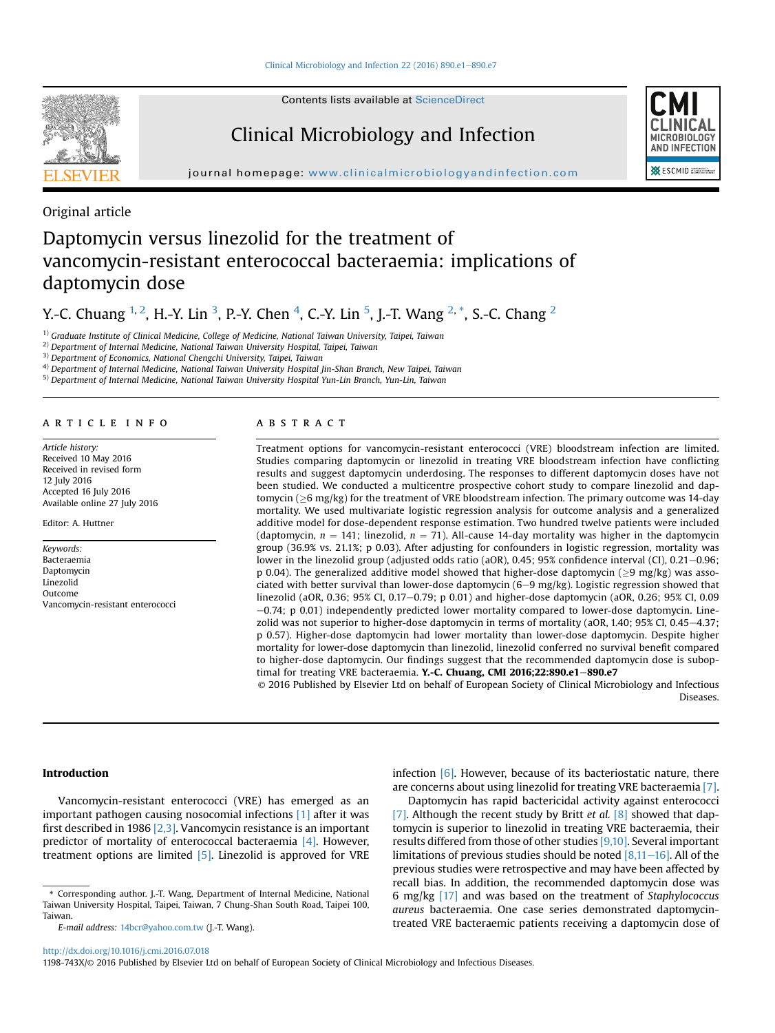Contents lists available at [ScienceDirect](www.sciencedirect.com/science/journal/1198743X)

# Clinical Microbiology and Infection



journal homepage: [www.clinicalmicrobiologyandinfection.com](http://www.clinicalmicrobiologyandinfection.com)

Original article

# Daptomycin versus linezolid for the treatment of vancomycin-resistant enterococcal bacteraemia: implications of daptomycin dose

# Y.-C. Chuang <sup>1, 2</sup>, H.-Y. Lin <sup>3</sup>, P.-Y. Chen <sup>4</sup>, C.-Y. Lin <sup>5</sup>, J.-T. Wang <sup>2,</sup> \*, S.-C. Chang <sup>2</sup>

 $1)$  Graduate Institute of Clinical Medicine, College of Medicine, National Taiwan University, Taipei, Taiwan

2) Department of Internal Medicine, National Taiwan University Hospital, Taipei, Taiwan

<sup>3)</sup> Department of Economics, National Chengchi University, Taipei, Taiwan

4) Department of Internal Medicine, National Taiwan University Hospital Jin-Shan Branch, New Taipei, Taiwan

5) Department of Internal Medicine, National Taiwan University Hospital Yun-Lin Branch, Yun-Lin, Taiwan

## article info

Article history: Received 10 May 2016 Received in revised form 12 July 2016 Accepted 16 July 2016 Available online 27 July 2016

Editor: A. Huttner

Keywords: Bacteraemia Daptomycin Linezolid Outcome Vancomycin-resistant enterococci

## ABSTRACT

Treatment options for vancomycin-resistant enterococci (VRE) bloodstream infection are limited. Studies comparing daptomycin or linezolid in treating VRE bloodstream infection have conflicting results and suggest daptomycin underdosing. The responses to different daptomycin doses have not been studied. We conducted a multicentre prospective cohort study to compare linezolid and daptomycin ( $\geq$ 6 mg/kg) for the treatment of VRE bloodstream infection. The primary outcome was 14-day mortality. We used multivariate logistic regression analysis for outcome analysis and a generalized additive model for dose-dependent response estimation. Two hundred twelve patients were included (daptomycin,  $n = 141$ ; linezolid,  $n = 71$ ). All-cause 14-day mortality was higher in the daptomycin group (36.9% vs. 21.1%; p 0.03). After adjusting for confounders in logistic regression, mortality was lower in the linezolid group (adjusted odds ratio (aOR), 0.45; 95% confidence interval (CI), 0.21-0.96; p 0.04). The generalized additive model showed that higher-dose daptomycin ( $\geq$ 9 mg/kg) was associated with better survival than lower-dose daptomycin  $(6-9 \text{ mg/kg})$ . Logistic regression showed that linezolid (aOR, 0.36; 95% CI, 0.17-0.79; p 0.01) and higher-dose daptomycin (aOR, 0.26; 95% CI, 0.09  $-0.74$ ; p 0.01) independently predicted lower mortality compared to lower-dose daptomycin. Linezolid was not superior to higher-dose daptomycin in terms of mortality (aOR, 1.40; 95% CI, 0.45–4.37; p 0.57). Higher-dose daptomycin had lower mortality than lower-dose daptomycin. Despite higher mortality for lower-dose daptomycin than linezolid, linezolid conferred no survival benefit compared to higher-dose daptomycin. Our findings suggest that the recommended daptomycin dose is suboptimal for treating VRE bacteraemia. Y.-C. Chuang, CMI 2016;22:890.e1-890.e7

© 2016 Published by Elsevier Ltd on behalf of European Society of Clinical Microbiology and Infectious Diseases.

## Introduction

Vancomycin-resistant enterococci (VRE) has emerged as an important pathogen causing nosocomial infections [\[1\]](#page-5-0) after it was first described in 1986  $[2,3]$ . Vancomycin resistance is an important predictor of mortality of enterococcal bacteraemia [\[4\].](#page-5-0) However, treatment options are limited [\[5\]](#page-5-0). Linezolid is approved for VRE infection [\[6\]](#page-5-0). However, because of its bacteriostatic nature, there are concerns about using linezolid for treating VRE bacteraemia [\[7\]](#page-5-0).

Daptomycin has rapid bactericidal activity against enterococci [\[7\]](#page-5-0). Although the recent study by Britt et al.  $[8]$  showed that daptomycin is superior to linezolid in treating VRE bacteraemia, their results differed from those of other studies [\[9,10\]](#page-5-0). Several important limitations of previous studies should be noted  $[8,11-16]$  $[8,11-16]$ . All of the previous studies were retrospective and may have been affected by recall bias. In addition, the recommended daptomycin dose was 6 mg/kg [\[17\]](#page-5-0) and was based on the treatment of Staphylococcus aureus bacteraemia. One case series demonstrated daptomycintreated VRE bacteraemic patients receiving a daptomycin dose of

<sup>\*</sup> Corresponding author. J.-T. Wang, Department of Internal Medicine, National Taiwan University Hospital, Taipei, Taiwan, 7 Chung-Shan South Road, Taipei 100, Taiwan.

E-mail address: [14bcr@yahoo.com.tw](mailto:14bcr@yahoo.com.tw) (J.-T. Wang).

<http://dx.doi.org/10.1016/j.cmi.2016.07.018>

<sup>1198-743</sup>X/© 2016 Published by Elsevier Ltd on behalf of European Society of Clinical Microbiology and Infectious Diseases.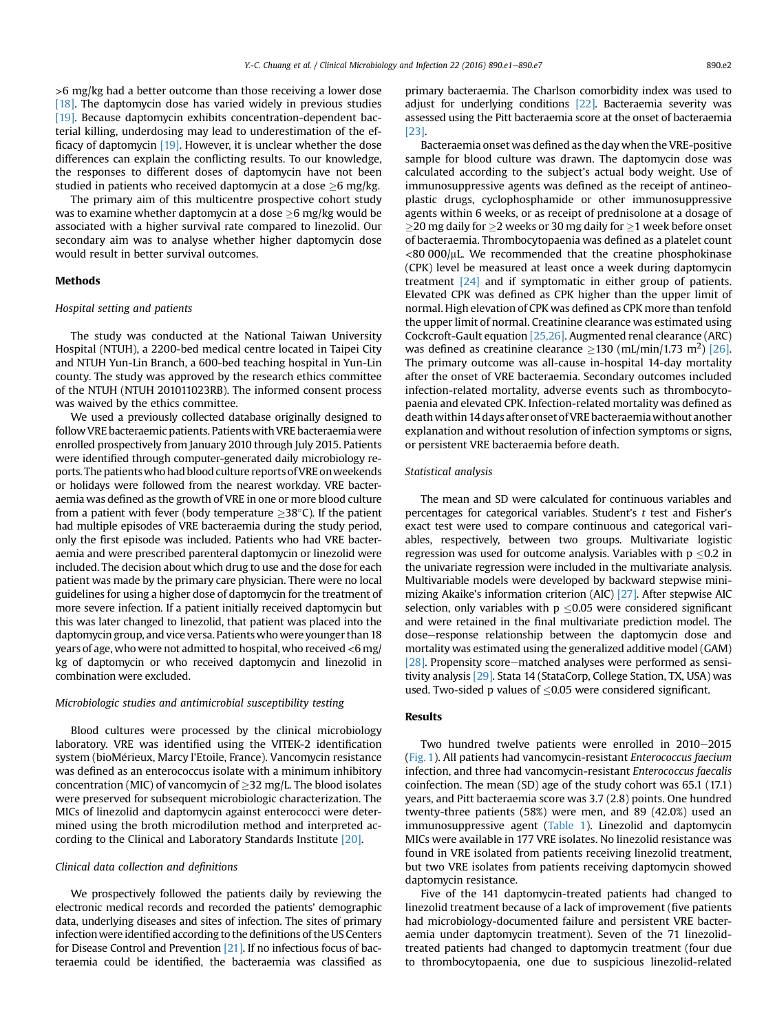>6 mg/kg had a better outcome than those receiving a lower dose [ $18$ ]. The daptomycin dose has varied widely in previous studies [\[19\]](#page-5-0). Because daptomycin exhibits concentration-dependent bacterial killing, underdosing may lead to underestimation of the efficacy of daptomycin [\[19\].](#page-5-0) However, it is unclear whether the dose differences can explain the conflicting results. To our knowledge, the responses to different doses of daptomycin have not been studied in patients who received daptomycin at a dose  $>6$  mg/kg.

The primary aim of this multicentre prospective cohort study was to examine whether daptomycin at a dose  $>6$  mg/kg would be associated with a higher survival rate compared to linezolid. Our secondary aim was to analyse whether higher daptomycin dose would result in better survival outcomes.

### Methods

## Hospital setting and patients

The study was conducted at the National Taiwan University Hospital (NTUH), a 2200-bed medical centre located in Taipei City and NTUH Yun-Lin Branch, a 600-bed teaching hospital in Yun-Lin county. The study was approved by the research ethics committee of the NTUH (NTUH 201011023RB). The informed consent process was waived by the ethics committee.

We used a previously collected database originally designed to follow VRE bacteraemic patients. Patients with VRE bacteraemiawere enrolled prospectively from January 2010 through July 2015. Patients were identified through computer-generated daily microbiology reports. The patientswho had blood culture reports of VRE onweekends or holidays were followed from the nearest workday. VRE bacteraemia was defined as the growth of VRE in one or more blood culture from a patient with fever (body temperature  $>38^{\circ}$ C). If the patient had multiple episodes of VRE bacteraemia during the study period, only the first episode was included. Patients who had VRE bacteraemia and were prescribed parenteral daptomycin or linezolid were included. The decision about which drug to use and the dose for each patient was made by the primary care physician. There were no local guidelines for using a higher dose of daptomycin for the treatment of more severe infection. If a patient initially received daptomycin but this was later changed to linezolid, that patient was placed into the daptomycin group, and vice versa. Patients who were younger than 18 years of age, who were not admitted to hospital, who received<6 mg/ kg of daptomycin or who received daptomycin and linezolid in combination were excluded.

## Microbiologic studies and antimicrobial susceptibility testing

Blood cultures were processed by the clinical microbiology laboratory. VRE was identified using the VITEK-2 identification system (bioMerieux, Marcy l'Etoile, France). Vancomycin resistance was defined as an enterococcus isolate with a minimum inhibitory concentration (MIC) of vancomycin of  $\geq$ 32 mg/L. The blood isolates were preserved for subsequent microbiologic characterization. The MICs of linezolid and daptomycin against enterococci were determined using the broth microdilution method and interpreted according to the Clinical and Laboratory Standards Institute [\[20\].](#page-5-0)

#### Clinical data collection and definitions

We prospectively followed the patients daily by reviewing the electronic medical records and recorded the patients' demographic data, underlying diseases and sites of infection. The sites of primary infection were identified according to the definitions of the US Centers for Disease Control and Prevention [\[21\].](#page-5-0) If no infectious focus of bacteraemia could be identified, the bacteraemia was classified as primary bacteraemia. The Charlson comorbidity index was used to adjust for underlying conditions [\[22\]](#page-5-0). Bacteraemia severity was assessed using the Pitt bacteraemia score at the onset of bacteraemia [\[23\]](#page-5-0).

Bacteraemia onset was defined as the day when the VRE-positive sample for blood culture was drawn. The daptomycin dose was calculated according to the subject's actual body weight. Use of immunosuppressive agents was defined as the receipt of antineoplastic drugs, cyclophosphamide or other immunosuppressive agents within 6 weeks, or as receipt of prednisolone at a dosage of  $>$ 20 mg daily for  $>$ 2 weeks or 30 mg daily for  $>$ 1 week before onset of bacteraemia. Thrombocytopaenia was defined as a platelet count  $<$ 80 000/ $\mu$ L. We recommended that the creatine phosphokinase (CPK) level be measured at least once a week during daptomycin treatment [\[24\]](#page-5-0) and if symptomatic in either group of patients. Elevated CPK was defined as CPK higher than the upper limit of normal. High elevation of CPK was defined as CPK more than tenfold the upper limit of normal. Creatinine clearance was estimated using Cockcroft-Gault equation [\[25,26\]](#page-5-0). Augmented renal clearance (ARC) was defined as creatinine clearance  $\geq$ 130 (mL/min/1.73 m<sup>2</sup>) [\[26\].](#page-5-0) The primary outcome was all-cause in-hospital 14-day mortality after the onset of VRE bacteraemia. Secondary outcomes included infection-related mortality, adverse events such as thrombocytopaenia and elevated CPK. Infection-related mortality was defined as death within 14 days after onset of VRE bacteraemiawithout another explanation and without resolution of infection symptoms or signs, or persistent VRE bacteraemia before death.

### Statistical analysis

The mean and SD were calculated for continuous variables and percentages for categorical variables. Student's t test and Fisher's exact test were used to compare continuous and categorical variables, respectively, between two groups. Multivariate logistic regression was used for outcome analysis. Variables with  $p \le 0.2$  in the univariate regression were included in the multivariate analysis. Multivariable models were developed by backward stepwise minimizing Akaike's information criterion (AIC) [\[27\]](#page-5-0). After stepwise AIC selection, only variables with  $p \le 0.05$  were considered significant and were retained in the final multivariate prediction model. The dose-response relationship between the daptomycin dose and mortality was estimated using the generalized additive model (GAM) [ $28$ ]. Propensity score–matched analyses were performed as sensitivity analysis [\[29\].](#page-5-0) Stata 14 (StataCorp, College Station, TX, USA) was used. Two-sided p values of  $\leq$ 0.05 were considered significant.

## Results

Two hundred twelve patients were enrolled in 2010-2015 ([Fig. 1\)](#page-2-0). All patients had vancomycin-resistant Enterococcus faecium infection, and three had vancomycin-resistant Enterococcus faecalis coinfection. The mean (SD) age of the study cohort was 65.1 (17.1) years, and Pitt bacteraemia score was 3.7 (2.8) points. One hundred twenty-three patients (58%) were men, and 89 (42.0%) used an immunosuppressive agent [\(Table 1\)](#page-3-0). Linezolid and daptomycin MICs were available in 177 VRE isolates. No linezolid resistance was found in VRE isolated from patients receiving linezolid treatment, but two VRE isolates from patients receiving daptomycin showed daptomycin resistance.

Five of the 141 daptomycin-treated patients had changed to linezolid treatment because of a lack of improvement (five patients had microbiology-documented failure and persistent VRE bacteraemia under daptomycin treatment). Seven of the 71 linezolidtreated patients had changed to daptomycin treatment (four due to thrombocytopaenia, one due to suspicious linezolid-related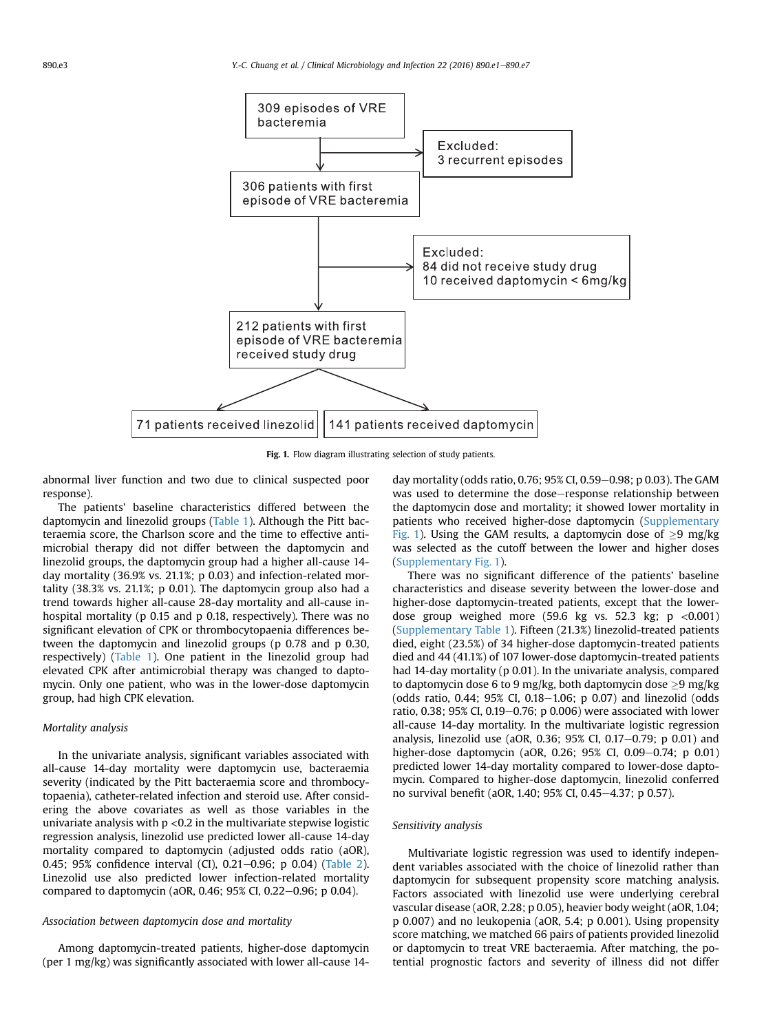<span id="page-2-0"></span>

Fig. 1. Flow diagram illustrating selection of study patients.

abnormal liver function and two due to clinical suspected poor response).

The patients' baseline characteristics differed between the daptomycin and linezolid groups ([Table 1](#page-3-0)). Although the Pitt bacteraemia score, the Charlson score and the time to effective antimicrobial therapy did not differ between the daptomycin and linezolid groups, the daptomycin group had a higher all-cause 14 day mortality (36.9% vs. 21.1%; p 0.03) and infection-related mortality (38.3% vs. 21.1%; p 0.01). The daptomycin group also had a trend towards higher all-cause 28-day mortality and all-cause inhospital mortality (p 0.15 and p 0.18, respectively). There was no significant elevation of CPK or thrombocytopaenia differences between the daptomycin and linezolid groups (p 0.78 and p 0.30, respectively) [\(Table 1](#page-3-0)). One patient in the linezolid group had elevated CPK after antimicrobial therapy was changed to daptomycin. Only one patient, who was in the lower-dose daptomycin group, had high CPK elevation.

## Mortality analysis

In the univariate analysis, significant variables associated with all-cause 14-day mortality were daptomycin use, bacteraemia severity (indicated by the Pitt bacteraemia score and thrombocytopaenia), catheter-related infection and steroid use. After considering the above covariates as well as those variables in the univariate analysis with  $p < 0.2$  in the multivariate stepwise logistic regression analysis, linezolid use predicted lower all-cause 14-day mortality compared to daptomycin (adjusted odds ratio (aOR), 0.45; 95% confidence interval (CI), 0.21-0.96; p 0.04) [\(Table 2\)](#page-4-0). Linezolid use also predicted lower infection-related mortality compared to daptomycin (aOR, 0.46; 95% CI, 0.22-0.96; p 0.04).

## Association between daptomycin dose and mortality

Among daptomycin-treated patients, higher-dose daptomycin (per 1 mg/kg) was significantly associated with lower all-cause 14day mortality (odds ratio, 0.76; 95% CI, 0.59–0.98; p 0.03). The GAM was used to determine the dose–response relationship between the daptomycin dose and mortality; it showed lower mortality in patients who received higher-dose daptomycin (Supplementary Fig. 1). Using the GAM results, a daptomycin dose of  $\geq$ 9 mg/kg was selected as the cutoff between the lower and higher doses (Supplementary Fig. 1).

There was no significant difference of the patients' baseline characteristics and disease severity between the lower-dose and higher-dose daptomycin-treated patients, except that the lowerdose group weighed more  $(59.6 \text{ kg} \text{ vs. } 52.3 \text{ kg}; \text{ p} < 0.001)$ (Supplementary Table 1). Fifteen (21.3%) linezolid-treated patients died, eight (23.5%) of 34 higher-dose daptomycin-treated patients died and 44 (41.1%) of 107 lower-dose daptomycin-treated patients had 14-day mortality (p 0.01). In the univariate analysis, compared to daptomycin dose 6 to 9 mg/kg, both daptomycin dose  $\geq$ 9 mg/kg (odds ratio,  $0.44$ ;  $95\%$  CI,  $0.18-1.06$ ; p  $0.07$ ) and linezolid (odds ratio, 0.38; 95% CI, 0.19-0.76; p 0.006) were associated with lower all-cause 14-day mortality. In the multivariate logistic regression analysis, linezolid use (aOR, 0.36; 95% CI, 0.17 $-0.79$ ; p 0.01) and higher-dose daptomycin (aOR, 0.26; 95% CI, 0.09-0.74; p 0.01) predicted lower 14-day mortality compared to lower-dose daptomycin. Compared to higher-dose daptomycin, linezolid conferred no survival benefit (aOR, 1.40; 95% CI, 0.45-4.37; p 0.57).

# Sensitivity analysis

Multivariate logistic regression was used to identify independent variables associated with the choice of linezolid rather than daptomycin for subsequent propensity score matching analysis. Factors associated with linezolid use were underlying cerebral vascular disease (aOR, 2.28; p 0.05), heavier body weight (aOR, 1.04; p 0.007) and no leukopenia (aOR, 5.4; p 0.001). Using propensity score matching, we matched 66 pairs of patients provided linezolid or daptomycin to treat VRE bacteraemia. After matching, the potential prognostic factors and severity of illness did not differ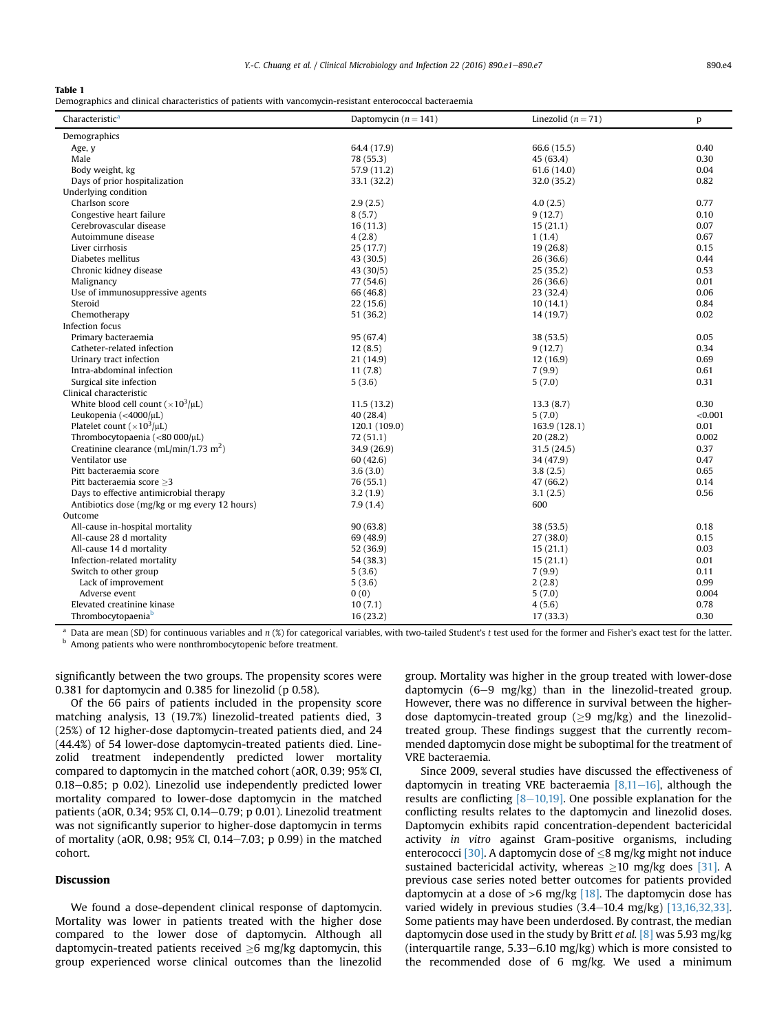### <span id="page-3-0"></span>Table 1

Demographics and clinical characteristics of patients with vancomycin-resistant enterococcal bacteraemia

| Characteristic <sup>a</sup>                        | Daptomycin $(n = 141)$ | Linezolid $(n = 71)$ | p       |
|----------------------------------------------------|------------------------|----------------------|---------|
| Demographics                                       |                        |                      |         |
| Age, y                                             | 64.4 (17.9)            | 66.6 (15.5)          | 0.40    |
| Male                                               | 78 (55.3)              | 45 (63.4)            | 0.30    |
| Body weight, kg                                    | 57.9 (11.2)            | 61.6(14.0)           | 0.04    |
| Days of prior hospitalization                      | 33.1 (32.2)            | 32.0 (35.2)          | 0.82    |
| Underlying condition                               |                        |                      |         |
| Charlson score                                     | 2.9(2.5)               | 4.0(2.5)             | 0.77    |
| Congestive heart failure                           | 8(5.7)                 | 9(12.7)              | 0.10    |
| Cerebrovascular disease                            | 16(11.3)               | 15(21.1)             | 0.07    |
| Autoimmune disease                                 | 4(2.8)                 | 1(1.4)               | 0.67    |
| Liver cirrhosis                                    | 25 (17.7)              | 19 (26.8)            | 0.15    |
| Diabetes mellitus                                  | 43 (30.5)              | 26 (36.6)            | 0.44    |
| Chronic kidney disease                             | 43 (30/5)              | 25(35.2)             | 0.53    |
| Malignancy                                         | 77 (54.6)              | 26 (36.6)            | 0.01    |
| Use of immunosuppressive agents                    | 66 (46.8)              | 23 (32.4)            | 0.06    |
| Steroid                                            | 22(15.6)               | 10(14.1)             | 0.84    |
| Chemotherapy                                       | 51 (36.2)              | 14 (19.7)            | 0.02    |
| Infection focus                                    |                        |                      |         |
| Primary bacteraemia                                | 95 (67.4)              | 38 (53.5)            | 0.05    |
| Catheter-related infection                         | 12(8.5)                | 9(12.7)              | 0.34    |
| Urinary tract infection                            | 21 (14.9)              | 12(16.9)             | 0.69    |
| Intra-abdominal infection                          | 11(7.8)                | 7(9.9)               | 0.61    |
| Surgical site infection                            | 5(3.6)                 | 5(7.0)               | 0.31    |
| Clinical characteristic                            |                        |                      |         |
| White blood cell count $(\times 10^3/\mu L)$       | 11.5(13.2)             | 13.3(8.7)            | 0.30    |
| Leukopenia (<4000/ $\mu$ L)                        | 40 (28.4)              |                      | < 0.001 |
| Platelet count ( $\times 10^3/\mu L$ )             |                        | 5(7.0)               | 0.01    |
| Thrombocytopaenia (<80 000/µL)                     | 120.1 (109.0)          | 163.9 (128.1)        | 0.002   |
|                                                    | 72(51.1)               | 20(28.2)             | 0.37    |
| Creatinine clearance (mL/min/1.73 m <sup>2</sup> ) | 34.9 (26.9)            | 31.5 (24.5)          |         |
| Ventilator use                                     | 60 (42.6)              | 34 (47.9)            | 0.47    |
| Pitt bacteraemia score                             | 3.6(3.0)               | 3.8(2.5)             | 0.65    |
| Pitt bacteraemia score >3                          | 76 (55.1)              | 47 (66.2)            | 0.14    |
| Days to effective antimicrobial therapy            | 3.2(1.9)               | 3.1(2.5)             | 0.56    |
| Antibiotics dose (mg/kg or mg every 12 hours)      | 7.9(1.4)               | 600                  |         |
| Outcome                                            |                        |                      |         |
| All-cause in-hospital mortality                    | 90(63.8)               | 38 (53.5)            | 0.18    |
| All-cause 28 d mortality                           | 69(48.9)               | 27 (38.0)            | 0.15    |
| All-cause 14 d mortality                           | 52 (36.9)              | 15(21.1)             | 0.03    |
| Infection-related mortality                        | 54 (38.3)              | 15(21.1)             | 0.01    |
| Switch to other group                              | 5(3.6)                 | 7(9.9)               | 0.11    |
| Lack of improvement                                | 5(3.6)                 | 2(2.8)               | 0.99    |
| Adverse event                                      | 0(0)                   | 5(7.0)               | 0.004   |
| Elevated creatinine kinase                         | 10(7.1)                | 4(5.6)               | 0.78    |
| Thrombocytopaenia <sup>b</sup>                     | 16(23.2)               | 17 (33.3)            | 0.30    |

<sup>a</sup> Data are mean (SD) for continuous variables and  $n$  (%) for categorical variables, with two-tailed Student's t test used for the former and Fisher's exact test for the latter. **b** Among patients who were nonthrombocytopenic before treatment.

significantly between the two groups. The propensity scores were 0.381 for daptomycin and 0.385 for linezolid (p 0.58).

Of the 66 pairs of patients included in the propensity score matching analysis, 13 (19.7%) linezolid-treated patients died, 3 (25%) of 12 higher-dose daptomycin-treated patients died, and 24 (44.4%) of 54 lower-dose daptomycin-treated patients died. Linezolid treatment independently predicted lower mortality compared to daptomycin in the matched cohort (aOR, 0.39; 95% CI,  $0.18-0.85$ ; p  $0.02$ ). Linezolid use independently predicted lower mortality compared to lower-dose daptomycin in the matched patients (aOR, 0.34; 95% CI, 0.14 $-$ 0.79; p 0.01). Linezolid treatment was not significantly superior to higher-dose daptomycin in terms of mortality (aOR, 0.98; 95% CI, 0.14–7.03; p 0.99) in the matched cohort.

# Discussion

We found a dose-dependent clinical response of daptomycin. Mortality was lower in patients treated with the higher dose compared to the lower dose of daptomycin. Although all daptomycin-treated patients received  $\geq 6$  mg/kg daptomycin, this group experienced worse clinical outcomes than the linezolid group. Mortality was higher in the group treated with lower-dose daptomycin  $(6-9 \text{ mg/kg})$  than in the linezolid-treated group. However, there was no difference in survival between the higherdose daptomycin-treated group ( $\geq$ 9 mg/kg) and the linezolidtreated group. These findings suggest that the currently recommended daptomycin dose might be suboptimal for the treatment of VRE bacteraemia.

Since 2009, several studies have discussed the effectiveness of daptomycin in treating VRE bacteraemia  $[8,11-16]$  $[8,11-16]$  $[8,11-16]$ , although the results are conflicting  $[8-10,19]$  $[8-10,19]$ . One possible explanation for the conflicting results relates to the daptomycin and linezolid doses. Daptomycin exhibits rapid concentration-dependent bactericidal activity in vitro against Gram-positive organisms, including enterococci [\[30\]](#page-5-0). A daptomycin dose of  $\leq$ 8 mg/kg might not induce sustained bactericidal activity, whereas  $\geq$ 10 mg/kg does [\[31\]](#page-5-0). A previous case series noted better outcomes for patients provided daptomycin at a dose of  $>6$  mg/kg [\[18\].](#page-5-0) The daptomycin dose has varied widely in previous studies  $(3.4-10.4 \text{ mg/kg})$  [\[13,16,32,33\].](#page-5-0) Some patients may have been underdosed. By contrast, the median daptomycin dose used in the study by Britt et al.  $[8]$  was 5.93 mg/kg (interquartile range,  $5.33-6.10$  mg/kg) which is more consisted to the recommended dose of 6 mg/kg. We used a minimum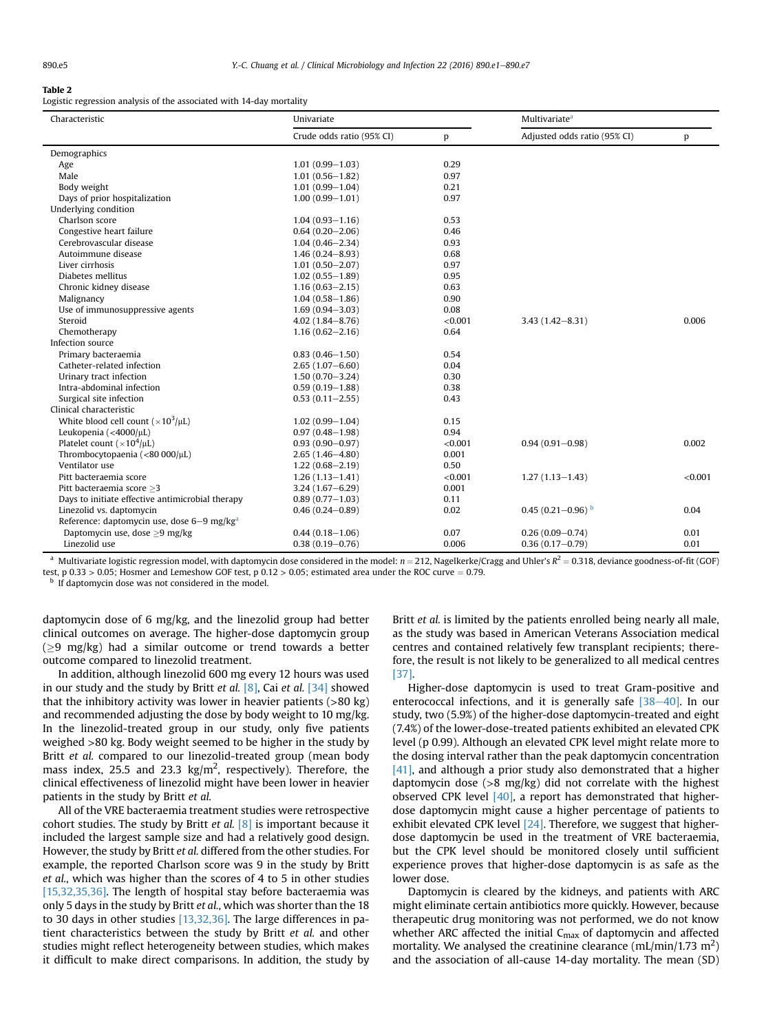#### <span id="page-4-0"></span>Table 2

Logistic regression analysis of the associated with 14-day mortality

| Characteristic                                         | Univariate                |         | Multivariate <sup>a</sup>    |         |  |
|--------------------------------------------------------|---------------------------|---------|------------------------------|---------|--|
|                                                        | Crude odds ratio (95% CI) | p       | Adjusted odds ratio (95% CI) | p       |  |
| Demographics                                           |                           |         |                              |         |  |
| Age                                                    | $1.01(0.99 - 1.03)$       | 0.29    |                              |         |  |
| Male                                                   | $1.01(0.56 - 1.82)$       | 0.97    |                              |         |  |
| Body weight                                            | $1.01(0.99 - 1.04)$       | 0.21    |                              |         |  |
| Days of prior hospitalization                          | $1.00(0.99 - 1.01)$       | 0.97    |                              |         |  |
| Underlying condition                                   |                           |         |                              |         |  |
| Charlson score                                         | $1.04(0.93 - 1.16)$       | 0.53    |                              |         |  |
| Congestive heart failure                               | $0.64(0.20 - 2.06)$       | 0.46    |                              |         |  |
| Cerebrovascular disease                                | $1.04(0.46 - 2.34)$       | 0.93    |                              |         |  |
| Autoimmune disease                                     | $1.46(0.24 - 8.93)$       | 0.68    |                              |         |  |
| Liver cirrhosis                                        | $1.01(0.50 - 2.07)$       | 0.97    |                              |         |  |
| Diabetes mellitus                                      | $1.02(0.55 - 1.89)$       | 0.95    |                              |         |  |
| Chronic kidney disease                                 | $1.16(0.63 - 2.15)$       | 0.63    |                              |         |  |
| Malignancy                                             | $1.04(0.58 - 1.86)$       | 0.90    |                              |         |  |
| Use of immunosuppressive agents                        | $1.69(0.94 - 3.03)$       | 0.08    |                              |         |  |
| Steroid                                                | $4.02(1.84 - 8.76)$       | < 0.001 | $3.43(1.42 - 8.31)$          | 0.006   |  |
| Chemotherapy                                           | $1.16(0.62 - 2.16)$       | 0.64    |                              |         |  |
| Infection source                                       |                           |         |                              |         |  |
| Primary bacteraemia                                    | $0.83(0.46 - 1.50)$       | 0.54    |                              |         |  |
| Catheter-related infection                             | $2.65(1.07 - 6.60)$       | 0.04    |                              |         |  |
| Urinary tract infection                                | $1.50(0.70 - 3.24)$       | 0.30    |                              |         |  |
| Intra-abdominal infection                              | $0.59(0.19 - 1.88)$       | 0.38    |                              |         |  |
| Surgical site infection                                | $0.53(0.11 - 2.55)$       | 0.43    |                              |         |  |
| Clinical characteristic                                |                           |         |                              |         |  |
| White blood cell count ( $\times 10^3/\mu L$ )         | $1.02(0.99 - 1.04)$       | 0.15    |                              |         |  |
| Leukopenia $(4000/\mu L)$                              | $0.97(0.48 - 1.98)$       | 0.94    |                              |         |  |
| Platelet count ( $\times 10^4/\mu L$ )                 | $0.93(0.90 - 0.97)$       | < 0.001 | $0.94(0.91 - 0.98)$          | 0.002   |  |
| Thrombocytopaenia (<80 000/µL)                         | $2.65(1.46 - 4.80)$       | 0.001   |                              |         |  |
| Ventilator use                                         | $1.22(0.68 - 2.19)$       | 0.50    |                              |         |  |
| Pitt bacteraemia score                                 | $1.26(1.13 - 1.41)$       | < 0.001 | $1.27(1.13 - 1.43)$          | < 0.001 |  |
| Pitt bacteraemia score >3                              | $3.24(1.67 - 6.29)$       | 0.001   |                              |         |  |
| Days to initiate effective antimicrobial therapy       | $0.89(0.77 - 1.03)$       | 0.11    |                              |         |  |
| Linezolid vs. daptomycin                               | $0.46(0.24 - 0.89)$       | 0.02    | $0.45(0.21-0.96)^{b}$        | 0.04    |  |
| Reference: daptomycin use, dose 6-9 mg/kg <sup>a</sup> |                           |         |                              |         |  |
| Daptomycin use, dose $>9$ mg/kg                        | $0.44(0.18 - 1.06)$       | 0.07    | $0.26(0.09 - 0.74)$          | 0.01    |  |
| Linezolid use                                          | $0.38(0.19 - 0.76)$       | 0.006   | $0.36(0.17 - 0.79)$          | 0.01    |  |

<sup>a</sup> Multivariate logistic regression model, with daptomycin dose considered in the model:  $n = 212$ , Nagelkerke/Cragg and Uhler's  $R<sup>2</sup> = 0.318$ , deviance goodness-of-fit (GOF) test, p 0.33 > 0.05; Hosmer and Lemeshow GOF test, p 0.12 > 0.05; estimated area under the ROC curve = 0.79. b If daptomycin dose was not considered in the model.

daptomycin dose of 6 mg/kg, and the linezolid group had better clinical outcomes on average. The higher-dose daptomycin group  $(>9 \text{ mg/kg})$  had a similar outcome or trend towards a better outcome compared to linezolid treatment.

In addition, although linezolid 600 mg every 12 hours was used in our study and the study by Britt et al.  $[8]$ , Cai et al.  $[34]$  showed that the inhibitory activity was lower in heavier patients  $(>80 \text{ kg})$ and recommended adjusting the dose by body weight to 10 mg/kg. In the linezolid-treated group in our study, only five patients weighed >80 kg. Body weight seemed to be higher in the study by Britt et al. compared to our linezolid-treated group (mean body mass index, 25.5 and 23.3  $\text{kg/m}^2$ , respectively). Therefore, the clinical effectiveness of linezolid might have been lower in heavier patients in the study by Britt et al.

All of the VRE bacteraemia treatment studies were retrospective cohort studies. The study by Britt et al.  $[8]$  is important because it included the largest sample size and had a relatively good design. However, the study by Britt et al. differed from the other studies. For example, the reported Charlson score was 9 in the study by Britt et al., which was higher than the scores of 4 to 5 in other studies [\[15,32,35,36\].](#page-5-0) The length of hospital stay before bacteraemia was only 5 days in the study by Britt et al., which was shorter than the 18 to 30 days in other studies [\[13,32,36\].](#page-5-0) The large differences in patient characteristics between the study by Britt et al. and other studies might reflect heterogeneity between studies, which makes it difficult to make direct comparisons. In addition, the study by Britt et al. is limited by the patients enrolled being nearly all male, as the study was based in American Veterans Association medical centres and contained relatively few transplant recipients; therefore, the result is not likely to be generalized to all medical centres [\[37\].](#page-6-0)

Higher-dose daptomycin is used to treat Gram-positive and enterococcal infections, and it is generally safe  $[38-40]$  $[38-40]$  $[38-40]$ . In our study, two (5.9%) of the higher-dose daptomycin-treated and eight (7.4%) of the lower-dose-treated patients exhibited an elevated CPK level (p 0.99). Although an elevated CPK level might relate more to the dosing interval rather than the peak daptomycin concentration [\[41\],](#page-6-0) and although a prior study also demonstrated that a higher daptomycin dose (>8 mg/kg) did not correlate with the highest observed CPK level  $[40]$ , a report has demonstrated that higherdose daptomycin might cause a higher percentage of patients to exhibit elevated CPK level [\[24\].](#page-5-0) Therefore, we suggest that higherdose daptomycin be used in the treatment of VRE bacteraemia, but the CPK level should be monitored closely until sufficient experience proves that higher-dose daptomycin is as safe as the lower dose.

Daptomycin is cleared by the kidneys, and patients with ARC might eliminate certain antibiotics more quickly. However, because therapeutic drug monitoring was not performed, we do not know whether ARC affected the initial  $C_{\text{max}}$  of daptomycin and affected mortality. We analysed the creatinine clearance (mL/min/1.73  $m<sup>2</sup>$ ) and the association of all-cause 14-day mortality. The mean (SD)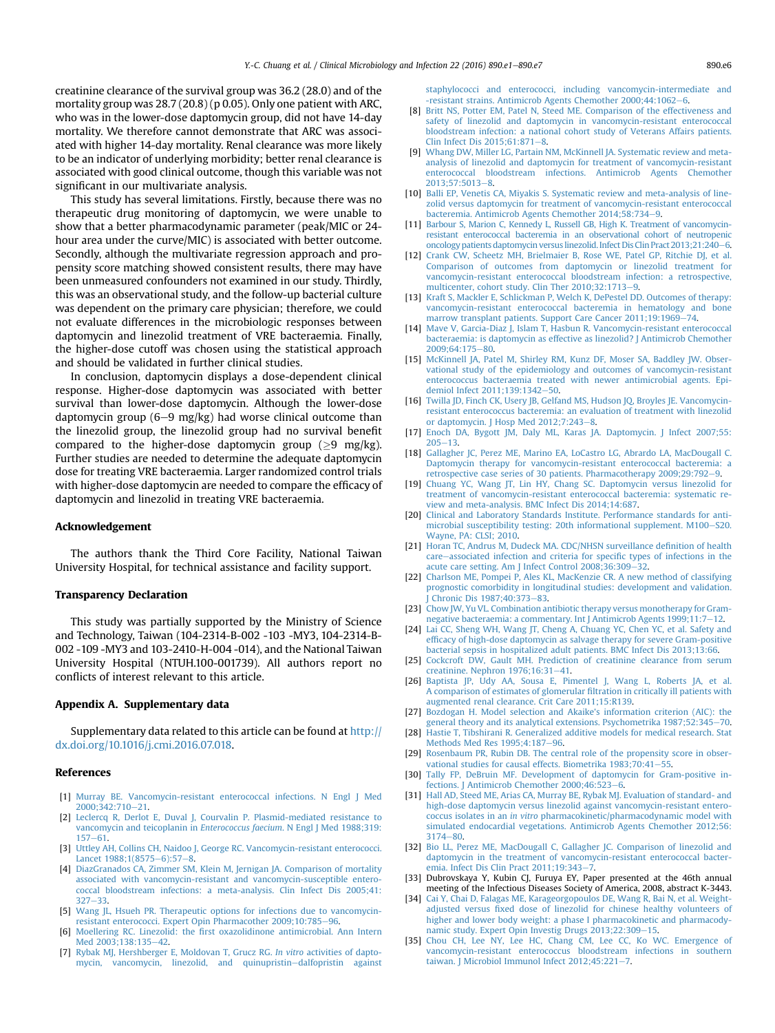<span id="page-5-0"></span>creatinine clearance of the survival group was 36.2 (28.0) and of the mortality group was 28.7 (20.8) (p 0.05). Only one patient with ARC, who was in the lower-dose daptomycin group, did not have 14-day mortality. We therefore cannot demonstrate that ARC was associated with higher 14-day mortality. Renal clearance was more likely to be an indicator of underlying morbidity; better renal clearance is associated with good clinical outcome, though this variable was not significant in our multivariate analysis.

This study has several limitations. Firstly, because there was no therapeutic drug monitoring of daptomycin, we were unable to show that a better pharmacodynamic parameter (peak/MIC or 24 hour area under the curve/MIC) is associated with better outcome. Secondly, although the multivariate regression approach and propensity score matching showed consistent results, there may have been unmeasured confounders not examined in our study. Thirdly, this was an observational study, and the follow-up bacterial culture was dependent on the primary care physician; therefore, we could not evaluate differences in the microbiologic responses between daptomycin and linezolid treatment of VRE bacteraemia. Finally, the higher-dose cutoff was chosen using the statistical approach and should be validated in further clinical studies.

In conclusion, daptomycin displays a dose-dependent clinical response. Higher-dose daptomycin was associated with better survival than lower-dose daptomycin. Although the lower-dose daptomycin group  $(6-9 \text{ mg/kg})$  had worse clinical outcome than the linezolid group, the linezolid group had no survival benefit compared to the higher-dose daptomycin group ( $\geq$ 9 mg/kg). Further studies are needed to determine the adequate daptomycin dose for treating VRE bacteraemia. Larger randomized control trials with higher-dose daptomycin are needed to compare the efficacy of daptomycin and linezolid in treating VRE bacteraemia.

## Acknowledgement

The authors thank the Third Core Facility, National Taiwan University Hospital, for technical assistance and facility support.

## Transparency Declaration

This study was partially supported by the Ministry of Science and Technology, Taiwan (104-2314-B-002 -103 -MY3, 104-2314-B-002 -109 -MY3 and 103-2410-H-004 -014), and the National Taiwan University Hospital (NTUH.100-001739). All authors report no conflicts of interest relevant to this article.

#### Appendix A. Supplementary data

Supplementary data related to this article can be found at [http://](http://dx.doi.org/10.1016/j.cmi.2016.07.018) [dx.doi.org/10.1016/j.cmi.2016.07.018](http://dx.doi.org/10.1016/j.cmi.2016.07.018).

#### References

- [1] [Murray BE. Vancomycin-resistant enterococcal infections. N Engl J Med](http://refhub.elsevier.com/S1198-743X(16)30242-7/sref1) 2000;342;710-[21](http://refhub.elsevier.com/S1198-743X(16)30242-7/sref1).
- [2] [Leclercq R, Derlot E, Duval J, Courvalin P. Plasmid-mediated resistance to](http://refhub.elsevier.com/S1198-743X(16)30242-7/sref2) [vancomycin and teicoplanin in](http://refhub.elsevier.com/S1198-743X(16)30242-7/sref2) Enterococcus faecium. N Engl J Med 1988;319:  $157 - 61$  $157 - 61$  $157 - 61$ .
- [3] [Uttley AH, Collins CH, Naidoo J, George RC. Vancomycin-resistant enterococci.](http://refhub.elsevier.com/S1198-743X(16)30242-7/sref3) [Lancet 1988;1\(8575](http://refhub.elsevier.com/S1198-743X(16)30242-7/sref3)-[6\):57](http://refhub.elsevier.com/S1198-743X(16)30242-7/sref3)-[8.](http://refhub.elsevier.com/S1198-743X(16)30242-7/sref3)
- [4] [DiazGranados CA, Zimmer SM, Klein M, Jernigan JA. Comparison of mortality](http://refhub.elsevier.com/S1198-743X(16)30242-7/sref4) [associated with vancomycin-resistant and vancomycin-susceptible entero](http://refhub.elsevier.com/S1198-743X(16)30242-7/sref4)[coccal bloodstream infections: a meta-analysis. Clin Infect Dis 2005;41:](http://refhub.elsevier.com/S1198-743X(16)30242-7/sref4)  $327 - 33.$  $327 - 33.$  $327 - 33.$  $327 - 33.$
- [5] [Wang JL, Hsueh PR. Therapeutic options for infections due to vancomycin](http://refhub.elsevier.com/S1198-743X(16)30242-7/sref5)[resistant enterococci. Expert Opin Pharmacother 2009;10:785](http://refhub.elsevier.com/S1198-743X(16)30242-7/sref5)-[96](http://refhub.elsevier.com/S1198-743X(16)30242-7/sref5).
- [6] Moellering RC. Linezolid: the fi[rst oxazolidinone antimicrobial. Ann Intern](http://refhub.elsevier.com/S1198-743X(16)30242-7/sref6) Med 2003:138:135-[42](http://refhub.elsevier.com/S1198-743X(16)30242-7/sref6).
- [7] [Rybak MJ, Hershberger E, Moldovan T, Grucz RG.](http://refhub.elsevier.com/S1198-743X(16)30242-7/sref7) In vitro activities of dapto[mycin, vancomycin, linezolid, and quinupristin](http://refhub.elsevier.com/S1198-743X(16)30242-7/sref7)-[dalfopristin against](http://refhub.elsevier.com/S1198-743X(16)30242-7/sref7)

[staphylococci and enterococci, including vancomycin-intermediate and](http://refhub.elsevier.com/S1198-743X(16)30242-7/sref7) [-resistant strains. Antimicrob Agents Chemother 2000;44:1062](http://refhub.elsevier.com/S1198-743X(16)30242-7/sref7)-[6.](http://refhub.elsevier.com/S1198-743X(16)30242-7/sref7)

- [8] [Britt NS, Potter EM, Patel N, Steed ME. Comparison of the effectiveness and](http://refhub.elsevier.com/S1198-743X(16)30242-7/sref8) [safety of linezolid and daptomycin in vancomycin-resistant enterococcal](http://refhub.elsevier.com/S1198-743X(16)30242-7/sref8) [bloodstream infection: a national cohort study of Veterans Affairs patients.](http://refhub.elsevier.com/S1198-743X(16)30242-7/sref8) Clin Infect Dis  $2015;61:871-8$ .
- [9] [Whang DW, Miller LG, Partain NM, McKinnell JA. Systematic review and meta](http://refhub.elsevier.com/S1198-743X(16)30242-7/sref9)[analysis of linezolid and daptomycin for treatment of vancomycin-resistant](http://refhub.elsevier.com/S1198-743X(16)30242-7/sref9) [enterococcal bloodstream infections. Antimicrob Agents Chemother](http://refhub.elsevier.com/S1198-743X(16)30242-7/sref9)  $2013:57:5013-8$
- [10] [Balli EP, Venetis CA, Miyakis S. Systematic review and meta-analysis of line](http://refhub.elsevier.com/S1198-743X(16)30242-7/sref10)[zolid versus daptomycin for treatment of vancomycin-resistant enterococcal](http://refhub.elsevier.com/S1198-743X(16)30242-7/sref10) bacteremia. Antimicrob Agents Chemother 2014:58:734-[9.](http://refhub.elsevier.com/S1198-743X(16)30242-7/sref10)
- [11] [Barbour S, Marion C, Kennedy L, Russell GB, High K. Treatment of vancomycin](http://refhub.elsevier.com/S1198-743X(16)30242-7/sref11)[resistant enterococcal bacteremia in an observational cohort of neutropenic](http://refhub.elsevier.com/S1198-743X(16)30242-7/sref11) oncology patients daptomycin versus linezolid. Infect Dis Clin Pract 2013:21:240-[6](http://refhub.elsevier.com/S1198-743X(16)30242-7/sref11).
- [12] [Crank CW, Scheetz MH, Brielmaier B, Rose WE, Patel GP, Ritchie DJ, et al.](http://refhub.elsevier.com/S1198-743X(16)30242-7/sref12) [Comparison of outcomes from daptomycin or linezolid treatment for](http://refhub.elsevier.com/S1198-743X(16)30242-7/sref12) [vancomycin-resistant enterococcal bloodstream infection: a retrospective,](http://refhub.elsevier.com/S1198-743X(16)30242-7/sref12) multicenter, cohort study. Clin Ther 2010:32:1713-[9.](http://refhub.elsevier.com/S1198-743X(16)30242-7/sref12)
- [13] [Kraft S, Mackler E, Schlickman P, Welch K, DePestel DD. Outcomes of therapy:](http://refhub.elsevier.com/S1198-743X(16)30242-7/sref13) [vancomycin-resistant enterococcal bacteremia in hematology and bone](http://refhub.elsevier.com/S1198-743X(16)30242-7/sref13) marrow transplant patients. Support Care Cancer 2011:19:1969-[74.](http://refhub.elsevier.com/S1198-743X(16)30242-7/sref13)
- [14] [Mave V, Garcia-Diaz J, Islam T, Hasbun R. Vancomycin-resistant enterococcal](http://refhub.elsevier.com/S1198-743X(16)30242-7/sref14) [bacteraemia: is daptomycin as effective as linezolid? J Antimicrob Chemother](http://refhub.elsevier.com/S1198-743X(16)30242-7/sref14)  $2009.64.175 - 80$  $2009.64.175 - 80$
- [15] [McKinnell JA, Patel M, Shirley RM, Kunz DF, Moser SA, Baddley JW. Obser](http://refhub.elsevier.com/S1198-743X(16)30242-7/sref15)[vational study of the epidemiology and outcomes of vancomycin-resistant](http://refhub.elsevier.com/S1198-743X(16)30242-7/sref15) [enterococcus bacteraemia treated with newer antimicrobial agents. Epi-](http://refhub.elsevier.com/S1198-743X(16)30242-7/sref15)demiol Infect 2011:139:1342-[50](http://refhub.elsevier.com/S1198-743X(16)30242-7/sref15).
- [16] [Twilla JD, Finch CK, Usery JB, Gelfand MS, Hudson JQ, Broyles JE. Vancomycin](http://refhub.elsevier.com/S1198-743X(16)30242-7/sref16)[resistant enterococcus bacteremia: an evaluation of treatment with linezolid](http://refhub.elsevier.com/S1198-743X(16)30242-7/sref16) [or daptomycin. J Hosp Med 2012;7:243](http://refhub.elsevier.com/S1198-743X(16)30242-7/sref16)-[8.](http://refhub.elsevier.com/S1198-743X(16)30242-7/sref16)
- [17] [Enoch DA, Bygott JM, Daly ML, Karas JA. Daptomycin. J Infect 2007;55:](http://refhub.elsevier.com/S1198-743X(16)30242-7/sref17)  $205 - 13.$  $205 - 13.$  $205 - 13.$
- [18] [Gallagher JC, Perez ME, Marino EA, LoCastro LG, Abrardo LA, MacDougall C.](http://refhub.elsevier.com/S1198-743X(16)30242-7/sref18) [Daptomycin therapy for vancomycin-resistant enterococcal bacteremia: a](http://refhub.elsevier.com/S1198-743X(16)30242-7/sref18) [retrospective case series of 30 patients. Pharmacotherapy 2009;29:792](http://refhub.elsevier.com/S1198-743X(16)30242-7/sref18)-[9.](http://refhub.elsevier.com/S1198-743X(16)30242-7/sref18)
- [19] [Chuang YC, Wang JT, Lin HY, Chang SC. Daptomycin versus linezolid for](http://refhub.elsevier.com/S1198-743X(16)30242-7/sref19) [treatment of vancomycin-resistant enterococcal bacteremia: systematic re](http://refhub.elsevier.com/S1198-743X(16)30242-7/sref19)[view and meta-analysis. BMC Infect Dis 2014;14:687.](http://refhub.elsevier.com/S1198-743X(16)30242-7/sref19)
- [20] [Clinical and Laboratory Standards Institute. Performance standards for anti](http://refhub.elsevier.com/S1198-743X(16)30242-7/sref20)[microbial susceptibility testing: 20th informational supplement. M100](http://refhub.elsevier.com/S1198-743X(16)30242-7/sref20)-[S20.](http://refhub.elsevier.com/S1198-743X(16)30242-7/sref20) [Wayne, PA: CLSI; 2010.](http://refhub.elsevier.com/S1198-743X(16)30242-7/sref20)
- [21] [Horan TC, Andrus M, Dudeck MA. CDC/NHSN surveillance de](http://refhub.elsevier.com/S1198-743X(16)30242-7/sref21)finition of health [care](http://refhub.elsevier.com/S1198-743X(16)30242-7/sref21)-[associated infection and criteria for speci](http://refhub.elsevier.com/S1198-743X(16)30242-7/sref21)fic types of infections in the [acute care setting. Am J Infect Control 2008;36:309](http://refhub.elsevier.com/S1198-743X(16)30242-7/sref21)-[32.](http://refhub.elsevier.com/S1198-743X(16)30242-7/sref21)
- [22] [Charlson ME, Pompei P, Ales KL, MacKenzie CR. A new method of classifying](http://refhub.elsevier.com/S1198-743X(16)30242-7/sref22) [prognostic comorbidity in longitudinal studies: development and validation.](http://refhub.elsevier.com/S1198-743X(16)30242-7/sref22) Chronic Dis 1987:40:373-[83.](http://refhub.elsevier.com/S1198-743X(16)30242-7/sref22)
- [23] [Chow JW, Yu VL. Combination antibiotic therapy versus monotherapy for Gram](http://refhub.elsevier.com/S1198-743X(16)30242-7/sref23)[negative bacteraemia: a commentary. Int J Antimicrob Agents 1999;11:7](http://refhub.elsevier.com/S1198-743X(16)30242-7/sref23)-[12.](http://refhub.elsevier.com/S1198-743X(16)30242-7/sref23)
- [24] [Lai CC, Sheng WH, Wang JT, Cheng A, Chuang YC, Chen YC, et al. Safety and](http://refhub.elsevier.com/S1198-743X(16)30242-7/sref24) effi[cacy of high-dose daptomycin as salvage therapy for severe Gram-positive](http://refhub.elsevier.com/S1198-743X(16)30242-7/sref24) [bacterial sepsis in hospitalized adult patients. BMC Infect Dis 2013;13:66.](http://refhub.elsevier.com/S1198-743X(16)30242-7/sref24)
- [25] [Cockcroft DW, Gault MH. Prediction of creatinine clearance from serum](http://refhub.elsevier.com/S1198-743X(16)30242-7/sref25) [creatinine. Nephron 1976;16:31](http://refhub.elsevier.com/S1198-743X(16)30242-7/sref25)-[41](http://refhub.elsevier.com/S1198-743X(16)30242-7/sref25).
- [26] [Baptista JP, Udy AA, Sousa E, Pimentel J, Wang L, Roberts JA, et al.](http://refhub.elsevier.com/S1198-743X(16)30242-7/sref26) [A comparison of estimates of glomerular](http://refhub.elsevier.com/S1198-743X(16)30242-7/sref26) filtration in critically ill patients with [augmented renal clearance. Crit Care 2011;15:R139.](http://refhub.elsevier.com/S1198-743X(16)30242-7/sref26)
- [27] [Bozdogan H. Model selection and Akaike's information criterion \(AIC\): the](http://refhub.elsevier.com/S1198-743X(16)30242-7/sref27) general theory and its analytical extensions. Psychometrika 1987:52:345
- [28] [Hastie T, Tibshirani R. Generalized additive models for medical research. Stat](http://refhub.elsevier.com/S1198-743X(16)30242-7/sref28) [Methods Med Res 1995;4:187](http://refhub.elsevier.com/S1198-743X(16)30242-7/sref28)-[96](http://refhub.elsevier.com/S1198-743X(16)30242-7/sref28).
- [29] [Rosenbaum PR, Rubin DB. The central role of the propensity score in obser](http://refhub.elsevier.com/S1198-743X(16)30242-7/sref29)[vational studies for causal effects. Biometrika 1983;70:41](http://refhub.elsevier.com/S1198-743X(16)30242-7/sref29)-[55.](http://refhub.elsevier.com/S1198-743X(16)30242-7/sref29)
- [30] [Tally FP, DeBruin MF. Development of daptomycin for Gram-positive in](http://refhub.elsevier.com/S1198-743X(16)30242-7/sref30)[fections. J Antimicrob Chemother 2000;46:523](http://refhub.elsevier.com/S1198-743X(16)30242-7/sref30)-[6](http://refhub.elsevier.com/S1198-743X(16)30242-7/sref30).
- [31] [Hall AD, Steed ME, Arias CA, Murray BE, Rybak MJ. Evaluation of standard- and](http://refhub.elsevier.com/S1198-743X(16)30242-7/sref31) [high-dose daptomycin versus linezolid against vancomycin-resistant entero](http://refhub.elsevier.com/S1198-743X(16)30242-7/sref31)coccus isolates in an in vitro [pharmacokinetic/pharmacodynamic model with](http://refhub.elsevier.com/S1198-743X(16)30242-7/sref31) [simulated endocardial vegetations. Antimicrob Agents Chemother 2012;56:](http://refhub.elsevier.com/S1198-743X(16)30242-7/sref31)  $3174 - 80.$  $3174 - 80.$  $3174 - 80.$
- [32] [Bio LL, Perez ME, MacDougall C, Gallagher JC. Comparison of linezolid and](http://refhub.elsevier.com/S1198-743X(16)30242-7/sref32) [daptomycin in the treatment of vancomycin-resistant enterococcal bacter](http://refhub.elsevier.com/S1198-743X(16)30242-7/sref32)[emia. Infect Dis Clin Pract 2011;19:343](http://refhub.elsevier.com/S1198-743X(16)30242-7/sref32)-[7](http://refhub.elsevier.com/S1198-743X(16)30242-7/sref32).
- [33] Dubrovskaya Y, Kubin CJ, Furuya EY, Paper presented at the 46th annual meeting of the Infectious Diseases Society of America, 2008, abstract K-3443.
- [34] [Cai Y, Chai D, Falagas ME, Karageorgopoulos DE, Wang R, Bai N, et al. Weight](http://refhub.elsevier.com/S1198-743X(16)30242-7/sref34)adjusted versus fi[xed dose of linezolid for chinese healthy volunteers of](http://refhub.elsevier.com/S1198-743X(16)30242-7/sref34) [higher and lower body weight: a phase I pharmacokinetic and pharmacody](http://refhub.elsevier.com/S1198-743X(16)30242-7/sref34)[namic study. Expert Opin Investig Drugs 2013;22:309](http://refhub.elsevier.com/S1198-743X(16)30242-7/sref34)-[15](http://refhub.elsevier.com/S1198-743X(16)30242-7/sref34)
- [35] [Chou CH, Lee NY, Lee HC, Chang CM, Lee CC, Ko WC. Emergence of](http://refhub.elsevier.com/S1198-743X(16)30242-7/sref35) [vancomycin-resistant enterococcus bloodstream infections in southern](http://refhub.elsevier.com/S1198-743X(16)30242-7/sref35) [taiwan. J Microbiol Immunol Infect 2012;45:221](http://refhub.elsevier.com/S1198-743X(16)30242-7/sref35)-[7](http://refhub.elsevier.com/S1198-743X(16)30242-7/sref35).